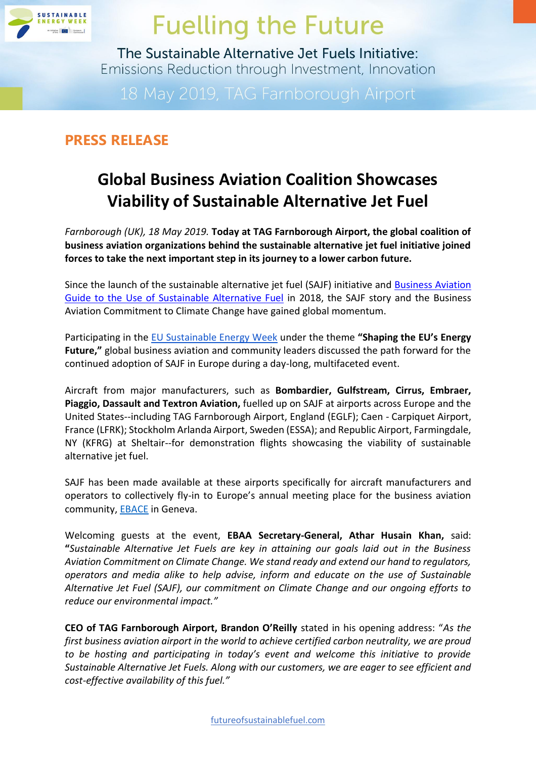

The Sustainable Alternative Jet Fuels Initiative: Emissions Reduction through Investment, Innovation

### **PRESS RELEASE**

### **Global Business Aviation Coalition Showcases Viability of Sustainable Alternative Jet Fuel**

*Farnborough (UK), 18 May 2019.* **Today at TAG Farnborough Airport, the global coalition of business aviation organizations behind the sustainable alternative jet fuel initiative joined forces to take the next important step in its journey to a lower carbon future.** 

Since the launch of the sustainable alternative jet fuel (SAJF) initiative and [Business Aviation](https://gama.aero/wp-content/uploads/Business-Aviation-Guide-to-SAJF-A4_MAY-2018.pdf)  [Guide to the Use of Sustainable Alternative Fuel](https://gama.aero/wp-content/uploads/Business-Aviation-Guide-to-SAJF-A4_MAY-2018.pdf) in 2018, the SAJF story and the Business Aviation Commitment to Climate Change have gained global momentum.

Participating in the [EU Sustainable Energy Week](https://eusew.eu/energy-days/fueling-future-sustainable-alternative-jet-fuels-initiative-emissions-reductions-through) under the theme **"Shaping the EU's Energy Future,"** global business aviation and community leaders discussed the path forward for the continued adoption of SAJF in Europe during a day-long, multifaceted event.

Aircraft from major manufacturers, such as **Bombardier, Gulfstream, Cirrus, Embraer, Piaggio, Dassault and Textron Aviation,** fuelled up on SAJF at airports across Europe and the United States--including TAG Farnborough Airport, England (EGLF); Caen - Carpiquet Airport, France (LFRK); Stockholm Arlanda Airport, Sweden (ESSA); and Republic Airport, Farmingdale, NY (KFRG) at Sheltair--for demonstration flights showcasing the viability of sustainable alternative jet fuel.

SAJF has been made available at these airports specifically for aircraft manufacturers and operators to collectively fly-in to Europe's annual meeting place for the business aviation community, **EBACE** in Geneva.

Welcoming guests at the event, **EBAA Secretary-General, Athar Husain Khan,** said: **"***Sustainable Alternative Jet Fuels are key in attaining our goals laid out in the Business Aviation Commitment on Climate Change. We stand ready and extend our hand to regulators, operators and media alike to help advise, inform and educate on the use of Sustainable Alternative Jet Fuel (SAJF), our commitment on Climate Change and our ongoing efforts to reduce our environmental impact."*

**CEO of TAG Farnborough Airport, Brandon O'Reilly** stated in his opening address: "*As the first business aviation airport in the world to achieve certified carbon neutrality, we are proud to be hosting and participating in today's event and welcome this initiative to provide Sustainable Alternative Jet Fuels. Along with our customers, we are eager to see efficient and cost-effective availability of this fuel."*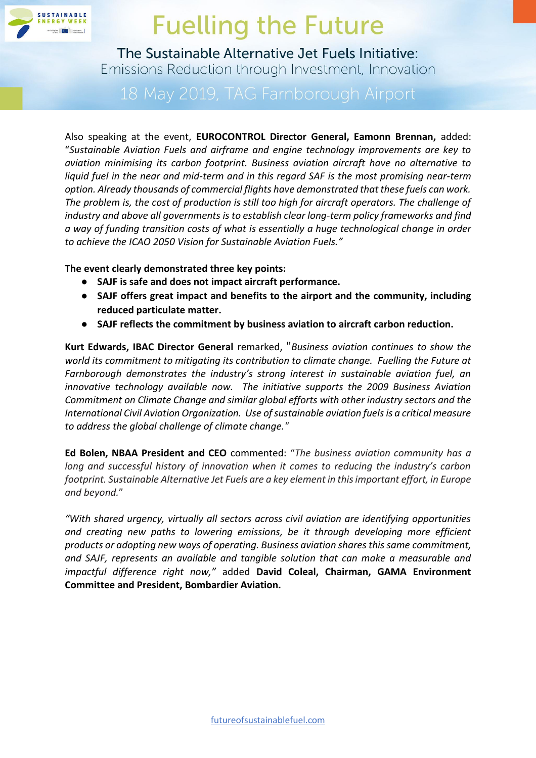

The Sustainable Alternative Jet Fuels Initiative: Emissions Reduction through Investment, Innovation

Also speaking at the event, **EUROCONTROL Director General, Eamonn Brennan,** added: "*Sustainable Aviation Fuels and airframe and engine technology improvements are key to aviation minimising its carbon footprint. Business aviation aircraft have no alternative to liquid fuel in the near and mid-term and in this regard SAF is the most promising near-term option. Already thousands of commercial flights have demonstrated that these fuels can work. The problem is, the cost of production is still too high for aircraft operators. The challenge of industry and above all governments is to establish clear long-term policy frameworks and find a way of funding transition costs of what is essentially a huge technological change in order to achieve the ICAO 2050 Vision for Sustainable Aviation Fuels."*

**The event clearly demonstrated three key points:**

- **SAJF is safe and does not impact aircraft performance.**
- **SAJF offers great impact and benefits to the airport and the community, including reduced particulate matter.**
- **SAJF reflects the commitment by business aviation to aircraft carbon reduction.**

**Kurt Edwards, IBAC Director General** remarked, "*Business aviation continues to show the world its commitment to mitigating its contribution to climate change. Fuelling the Future at Farnborough demonstrates the industry's strong interest in sustainable aviation fuel, an innovative technology available now. The initiative supports the 2009 Business Aviation Commitment on Climate Change and similar global efforts with other industry sectors and the International Civil Aviation Organization. Use of sustainable aviation fuels is a critical measure to address the global challenge of climate change."*

**Ed Bolen, NBAA President and CEO** commented: "*The business aviation community has a long and successful history of innovation when it comes to reducing the industry's carbon footprint. Sustainable Alternative Jet Fuels are a key element in this important effort, in Europe and beyond.*"

*"With shared urgency, virtually all sectors across civil aviation are identifying opportunities and creating new paths to lowering emissions, be it through developing more efficient products or adopting new ways of operating. Business aviation shares this same commitment, and SAJF, represents an available and tangible solution that can make a measurable and impactful difference right now,"* added **David Coleal, Chairman, GAMA Environment Committee and President, Bombardier Aviation***.*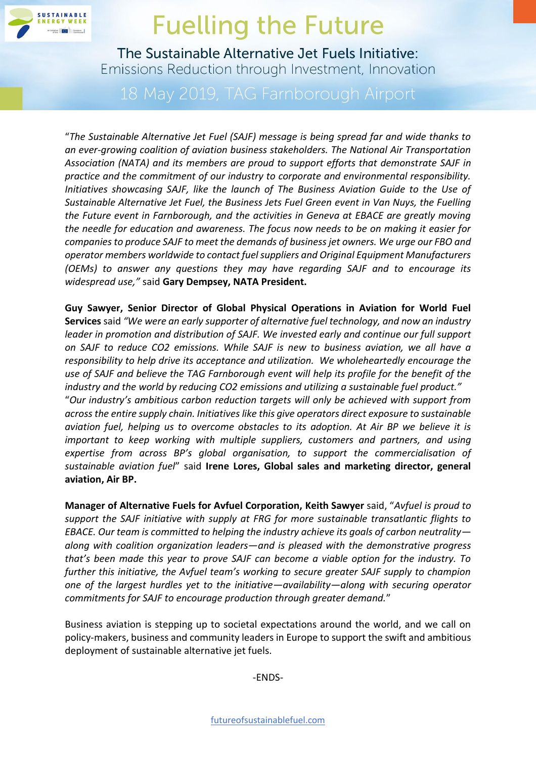

The Sustainable Alternative Jet Fuels Initiative: Emissions Reduction through Investment, Innovation

"*The Sustainable Alternative Jet Fuel (SAJF) message is being spread far and wide thanks to an ever-growing coalition of aviation business stakeholders. The National Air Transportation Association (NATA) and its members are proud to support efforts that demonstrate SAJF in practice and the commitment of our industry to corporate and environmental responsibility. Initiatives showcasing SAJF, like the launch of The Business Aviation Guide to the Use of Sustainable Alternative Jet Fuel, the Business Jets Fuel Green event in Van Nuys, the Fuelling the Future event in Farnborough, and the activities in Geneva at EBACE are greatly moving the needle for education and awareness. The focus now needs to be on making it easier for companies to produce SAJF to meet the demands of business jet owners. We urge our FBO and operator members worldwide to contact fuel suppliers and Original Equipment Manufacturers (OEMs) to answer any questions they may have regarding SAJF and to encourage its widespread use,"* said **Gary Dempsey, NATA President.**

**Guy Sawyer, Senior Director of Global Physical Operations in Aviation for World Fuel Services** said *"We were an early supporter of alternative fuel technology, and now an industry leader in promotion and distribution of SAJF. We invested early and continue our full support on SAJF to reduce CO2 emissions. While SAJF is new to business aviation, we all have a responsibility to help drive its acceptance and utilization. We wholeheartedly encourage the use of SAJF and believe the TAG Farnborough event will help its profile for the benefit of the industry and the world by reducing CO2 emissions and utilizing a sustainable fuel product."* "*Our industry's ambitious carbon reduction targets will only be achieved with support from across the entire supply chain. Initiatives like this give operators direct exposure to sustainable aviation fuel, helping us to overcome obstacles to its adoption. At Air BP we believe it is important to keep working with multiple suppliers, customers and partners, and using expertise from across BP's global organisation, to support the commercialisation of sustainable aviation fuel*" said **Irene Lores, Global sales and marketing director, general aviation, Air BP.**

**Manager of Alternative Fuels for Avfuel Corporation, Keith Sawyer** said, "*Avfuel is proud to support the SAJF initiative with supply at FRG for more sustainable transatlantic flights to EBACE. Our team is committed to helping the industry achieve its goals of carbon neutrality along with coalition organization leaders—and is pleased with the demonstrative progress that's been made this year to prove SAJF can become a viable option for the industry. To further this initiative, the Avfuel team's working to secure greater SAJF supply to champion one of the largest hurdles yet to the initiative—availability—along with securing operator commitments for SAJF to encourage production through greater demand.*"

Business aviation is stepping up to societal expectations around the world, and we call on policy-makers, business and community leaders in Europe to support the swift and ambitious deployment of sustainable alternative jet fuels.

-ENDS-